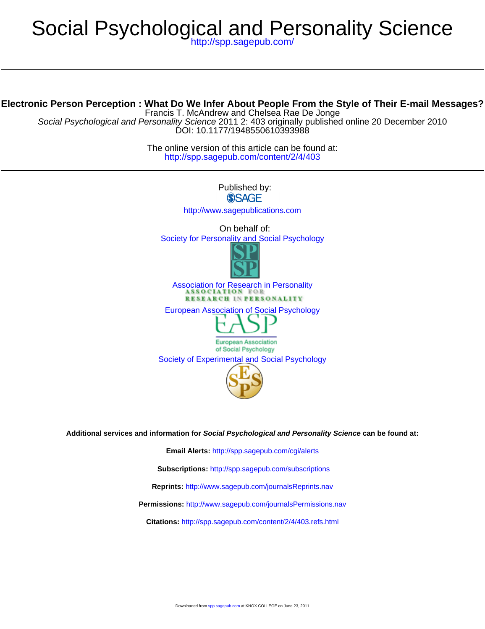# Social Psychological and Personality Science

<http://spp.sagepub.com/>

# **Electronic Person Perception : What Do We Infer About People From the Style of Their E-mail Messages?**

DOI: 10.1177/1948550610393988 Social Psychological and Personality Science 2011 2: 403 originally published online 20 December 2010 Francis T. McAndrew and Chelsea Rae De Jonge

> <http://spp.sagepub.com/content/2/4/403> The online version of this article can be found at:



**Additional services and information for Social Psychological and Personality Science can be found at:**

**Email Alerts:** <http://spp.sagepub.com/cgi/alerts>

**Subscriptions:** <http://spp.sagepub.com/subscriptions>

**Reprints:** <http://www.sagepub.com/journalsReprints.nav>

**Permissions:** <http://www.sagepub.com/journalsPermissions.nav>

**Citations:** <http://spp.sagepub.com/content/2/4/403.refs.html>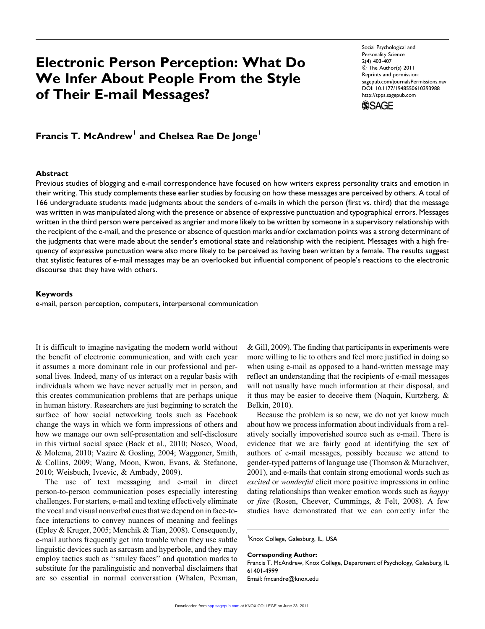# Electronic Person Perception: What Do We Infer About People From the Style of Their E-mail Messages?

Social Psychological and Personality Science 2(4) 403-407 © The Author(s) 2011 Reprints and permission: sagepub.com/journalsPermissions.nav DOI: 10.1177/1948550610393988 http://spps.sagepub.com



Francis T. McAndrew<sup>1</sup> and Chelsea Rae De Jonge<sup>1</sup>

## Abstract

Previous studies of blogging and e-mail correspondence have focused on how writers express personality traits and emotion in their writing. This study complements these earlier studies by focusing on how these messages are perceived by others. A total of 166 undergraduate students made judgments about the senders of e-mails in which the person (first vs. third) that the message was written in was manipulated along with the presence or absence of expressive punctuation and typographical errors. Messages written in the third person were perceived as angrier and more likely to be written by someone in a supervisory relationship with the recipient of the e-mail, and the presence or absence of question marks and/or exclamation points was a strong determinant of the judgments that were made about the sender's emotional state and relationship with the recipient. Messages with a high frequency of expressive punctuation were also more likely to be perceived as having been written by a female. The results suggest that stylistic features of e-mail messages may be an overlooked but influential component of people's reactions to the electronic discourse that they have with others.

#### Keywords

e-mail, person perception, computers, interpersonal communication

It is difficult to imagine navigating the modern world without the benefit of electronic communication, and with each year it assumes a more dominant role in our professional and personal lives. Indeed, many of us interact on a regular basis with individuals whom we have never actually met in person, and this creates communication problems that are perhaps unique in human history. Researchers are just beginning to scratch the surface of how social networking tools such as Facebook change the ways in which we form impressions of others and how we manage our own self-presentation and self-disclosure in this virtual social space (Back et al., 2010; Nosco, Wood, & Molema, 2010; Vazire & Gosling, 2004; Waggoner, Smith, & Collins, 2009; Wang, Moon, Kwon, Evans, & Stefanone, 2010; Weisbuch, Ivcevic, & Ambady, 2009).

The use of text messaging and e-mail in direct person-to-person communication poses especially interesting challenges. For starters, e-mail and texting effectively eliminate the vocal and visual nonverbal cues that we depend on in face-toface interactions to convey nuances of meaning and feelings (Epley & Kruger, 2005; Menchik & Tian, 2008). Consequently, e-mail authors frequently get into trouble when they use subtle linguistic devices such as sarcasm and hyperbole, and they may employ tactics such as ''smiley faces'' and quotation marks to substitute for the paralinguistic and nonverbal disclaimers that are so essential in normal conversation (Whalen, Pexman, & Gill, 2009). The finding that participants in experiments were more willing to lie to others and feel more justified in doing so when using e-mail as opposed to a hand-written message may reflect an understanding that the recipients of e-mail messages will not usually have much information at their disposal, and it thus may be easier to deceive them (Naquin, Kurtzberg, & Belkin, 2010).

Because the problem is so new, we do not yet know much about how we process information about individuals from a relatively socially impoverished source such as e-mail. There is evidence that we are fairly good at identifying the sex of authors of e-mail messages, possibly because we attend to gender-typed patterns of language use (Thomson & Murachver, 2001), and e-mails that contain strong emotional words such as excited or wonderful elicit more positive impressions in online dating relationships than weaker emotion words such as *happy* or fine (Rosen, Cheever, Cummings, & Felt, 2008). A few studies have demonstrated that we can correctly infer the

1 Knox College, Galesburg, IL, USA

#### Corresponding Author:

Francis T. McAndrew, Knox College, Department of Psychology, Galesburg, IL 61401-4999 Email: fmcandre@knox.edu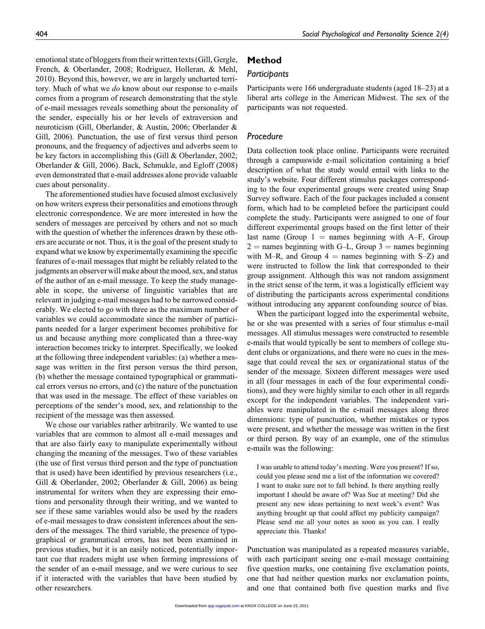emotional state of bloggers from their written texts (Gill, Gergle, French, & Oberlander, 2008; Rodriguez, Holleran, & Mehl, 2010). Beyond this, however, we are in largely uncharted territory. Much of what we do know about our response to e-mails comes from a program of research demonstrating that the style of e-mail messages reveals something about the personality of the sender, especially his or her levels of extraversion and neuroticism (Gill, Oberlander, & Austin, 2006; Oberlander & Gill, 2006). Punctuation, the use of first versus third person pronouns, and the frequency of adjectives and adverbs seem to be key factors in accomplishing this (Gill & Oberlander, 2002; Oberlander & Gill, 2006). Back, Schmukle, and Egloff (2008) even demonstrated that e-mail addresses alone provide valuable cues about personality.

The aforementioned studies have focused almost exclusively on how writers express their personalities and emotions through electronic correspondence. We are more interested in how the senders of messages are perceived by others and not so much with the question of whether the inferences drawn by these others are accurate or not. Thus, it is the goal of the present study to expand what we know by experimentally examining the specific features of e-mail messages that might be reliably related to the judgments an observer will make about the mood, sex, and status of the author of an e-mail message. To keep the study manageable in scope, the universe of linguistic variables that are relevant in judging e-mail messages had to be narrowed considerably. We elected to go with three as the maximum number of variables we could accommodate since the number of participants needed for a larger experiment becomes prohibitive for us and because anything more complicated than a three-way interaction becomes tricky to interpret. Specifically, we looked at the following three independent variables: (a) whether a message was written in the first person versus the third person, (b) whether the message contained typographical or grammatical errors versus no errors, and (c) the nature of the punctuation that was used in the message. The effect of these variables on perceptions of the sender's mood, sex, and relationship to the recipient of the message was then assessed.

We chose our variables rather arbitrarily. We wanted to use variables that are common to almost all e-mail messages and that are also fairly easy to manipulate experimentally without changing the meaning of the messages. Two of these variables (the use of first versus third person and the type of punctuation that is used) have been identified by previous researchers (i.e., Gill & Oberlander, 2002; Oberlander & Gill, 2006) as being instrumental for writers when they are expressing their emotions and personality through their writing, and we wanted to see if these same variables would also be used by the readers of e-mail messages to draw consistent inferences about the senders of the messages. The third variable, the presence of typographical or grammatical errors, has not been examined in previous studies, but it is an easily noticed, potentially important cue that readers might use when forming impressions of the sender of an e-mail message, and we were curious to see if it interacted with the variables that have been studied by other researchers.

# Method

# Participants

Participants were 166 undergraduate students (aged 18–23) at a liberal arts college in the American Midwest. The sex of the participants was not requested.

# Procedure

Data collection took place online. Participants were recruited through a campuswide e-mail solicitation containing a brief description of what the study would entail with links to the study's website. Four different stimulus packages corresponding to the four experimental groups were created using Snap Survey software. Each of the four packages included a consent form, which had to be completed before the participant could complete the study. Participants were assigned to one of four different experimental groups based on the first letter of their last name (Group  $1 =$  names beginning with A–F, Group  $2$  = names beginning with G–L, Group  $3$  = names beginning with M–R, and Group  $4 =$  names beginning with S–Z) and were instructed to follow the link that corresponded to their group assignment. Although this was not random assignment in the strict sense of the term, it was a logistically efficient way of distributing the participants across experimental conditions without introducing any apparent confounding source of bias.

When the participant logged into the experimental website, he or she was presented with a series of four stimulus e-mail messages. All stimulus messages were constructed to resemble e-mails that would typically be sent to members of college student clubs or organizations, and there were no cues in the message that could reveal the sex or organizational status of the sender of the message. Sixteen different messages were used in all (four messages in each of the four experimental conditions), and they were highly similar to each other in all regards except for the independent variables. The independent variables were manipulated in the e-mail messages along three dimensions: type of punctuation, whether mistakes or typos were present, and whether the message was written in the first or third person. By way of an example, one of the stimulus e-mails was the following:

I was unable to attend today's meeting. Were you present? If so, could you please send me a list of the information we covered? I want to make sure not to fall behind. Is there anything really important I should be aware of? Was Sue at meeting? Did she present any new ideas pertaining to next week's event? Was anything brought up that could affect my publicity campaign? Please send me all your notes as soon as you can. I really appreciate this. Thanks!

Punctuation was manipulated as a repeated measures variable, with each participant seeing one e-mail message containing five question marks, one containing five exclamation points, one that had neither question marks nor exclamation points, and one that contained both five question marks and five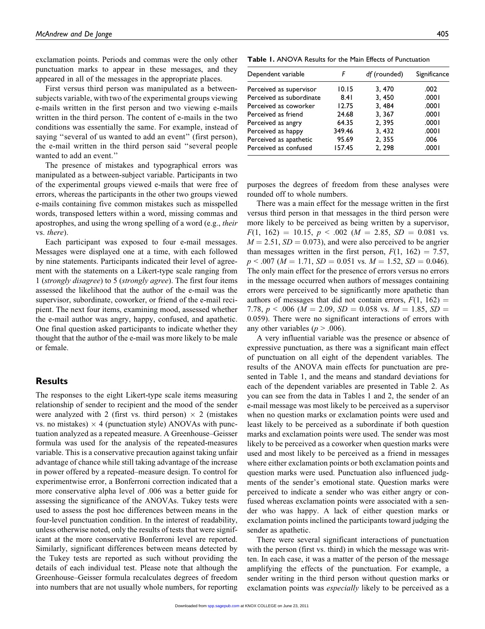exclamation points. Periods and commas were the only other punctuation marks to appear in these messages, and they appeared in all of the messages in the appropriate places.

First versus third person was manipulated as a betweensubjects variable, with two of the experimental groups viewing e-mails written in the first person and two viewing e-mails written in the third person. The content of e-mails in the two conditions was essentially the same. For example, instead of saying "several of us wanted to add an event" (first person), the e-mail written in the third person said ''several people wanted to add an event.''

The presence of mistakes and typographical errors was manipulated as a between-subject variable. Participants in two of the experimental groups viewed e-mails that were free of errors, whereas the participants in the other two groups viewed e-mails containing five common mistakes such as misspelled words, transposed letters within a word, missing commas and apostrophes, and using the wrong spelling of a word (e.g., their vs. there).

Each participant was exposed to four e-mail messages. Messages were displayed one at a time, with each followed by nine statements. Participants indicated their level of agreement with the statements on a Likert-type scale ranging from 1 (strongly disagree) to 5 (strongly agree). The first four items assessed the likelihood that the author of the e-mail was the supervisor, subordinate, coworker, or friend of the e-mail recipient. The next four items, examining mood, assessed whether the e-mail author was angry, happy, confused, and apathetic. One final question asked participants to indicate whether they thought that the author of the e-mail was more likely to be male or female.

# Results

The responses to the eight Likert-type scale items measuring relationship of sender to recipient and the mood of the sender were analyzed with 2 (first vs. third person)  $\times$  2 (mistakes vs. no mistakes)  $\times$  4 (punctuation style) ANOVAs with punctuation analyzed as a repeated measure. A Greenhouse–Geisser formula was used for the analysis of the repeated-measures variable. This is a conservative precaution against taking unfair advantage of chance while still taking advantage of the increase in power offered by a repeated–measure design. To control for experimentwise error, a Bonferroni correction indicated that a more conservative alpha level of .006 was a better guide for assessing the significance of the ANOVAs. Tukey tests were used to assess the post hoc differences between means in the four-level punctuation condition. In the interest of readability, unless otherwise noted, only the results of tests that were significant at the more conservative Bonferroni level are reported. Similarly, significant differences between means detected by the Tukey tests are reported as such without providing the details of each individual test. Please note that although the Greenhouse–Geisser formula recalculates degrees of freedom into numbers that are not usually whole numbers, for reporting

Table 1. ANOVA Results for the Main Effects of Punctuation

|        | df (rounded) | Significance |
|--------|--------------|--------------|
| 10.15  | 3, 470       | .002         |
| 8.41   | 3,450        | .0001        |
| 12.75  | 3, 484       | .0001        |
| 24.68  | 3.367        | .0001        |
| 64.35  | 2, 395       | .0001        |
| 349.46 | 3, 432       | .0001        |
| 95.69  | 2, 355       | .006         |
| 157.45 | 2.298        | .0001        |
|        |              |              |

purposes the degrees of freedom from these analyses were rounded off to whole numbers.

There was a main effect for the message written in the first versus third person in that messages in the third person were more likely to be perceived as being written by a supervisor,  $F(1, 162) = 10.15, p < .002$  ( $M = 2.85, SD = 0.081$  vs.  $M = 2.51$ ,  $SD = 0.073$ , and were also perceived to be angrier than messages written in the first person,  $F(1, 162) = 7.57$ ,  $p < .007$  ( $M = 1.71$ ,  $SD = 0.051$  vs.  $M = 1.52$ ,  $SD = 0.046$ ). The only main effect for the presence of errors versus no errors in the message occurred when authors of messages containing errors were perceived to be significantly more apathetic than authors of messages that did not contain errors,  $F(1, 162) =$ 7.78,  $p < .006$  ( $M = 2.09$ ,  $SD = 0.058$  vs.  $M = 1.85$ ,  $SD =$ 0.059). There were no significant interactions of errors with any other variables ( $p > .006$ ).

A very influential variable was the presence or absence of expressive punctuation, as there was a significant main effect of punctuation on all eight of the dependent variables. The results of the ANOVA main effects for punctuation are presented in Table 1, and the means and standard deviations for each of the dependent variables are presented in Table 2. As you can see from the data in Tables 1 and 2, the sender of an e-mail message was most likely to be perceived as a supervisor when no question marks or exclamation points were used and least likely to be perceived as a subordinate if both question marks and exclamation points were used. The sender was most likely to be perceived as a coworker when question marks were used and most likely to be perceived as a friend in messages where either exclamation points or both exclamation points and question marks were used. Punctuation also influenced judgments of the sender's emotional state. Question marks were perceived to indicate a sender who was either angry or confused whereas exclamation points were associated with a sender who was happy. A lack of either question marks or exclamation points inclined the participants toward judging the sender as apathetic.

There were several significant interactions of punctuation with the person (first vs. third) in which the message was written. In each case, it was a matter of the person of the message amplifying the effects of the punctuation. For example, a sender writing in the third person without question marks or exclamation points was *especially* likely to be perceived as a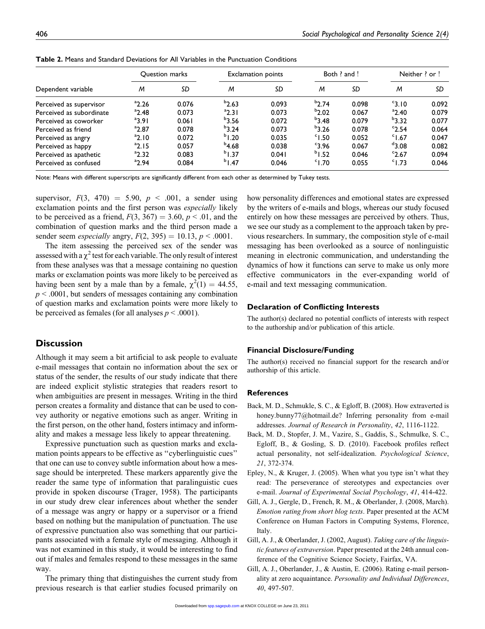| Dependent variable       | <b>Ouestion marks</b> |       | <b>Exclamation points</b> |       | Both ? and !        |       | Neither ? or !  |       |
|--------------------------|-----------------------|-------|---------------------------|-------|---------------------|-------|-----------------|-------|
|                          | M                     | SD    | M                         | SD    | M                   | SD    | M               | SD    |
| Perceived as supervisor  | $a_{2.26}$            | 0.076 | $b_{2.63}$                | 0.093 | $b$ 2.74            | 0.098 | $^{\circ}3.10$  | 0.092 |
| Perceived as subordinate | $^{\circ}2.48$        | 0.073 | $a_{2.31}$                | 0.073 | $b_{2.02}$          | 0.067 | $a_{2.40}$      | 0.079 |
| Perceived as coworker    | $^{a}3.91$            | 0.061 | $^{b}3.56$                | 0.072 | $^{b}3.48$          | 0.079 | $b$ 3.32        | 0.077 |
| Perceived as friend      | $a_{2.87}$            | 0.078 | $b$ 3.24                  | 0.073 | $B_{3.26}$          | 0.078 | $^{\circ}$ 2.54 | 0.064 |
| Perceived as angry       | $a_{2.10}$            | 0.072 | $b$ 1.20                  | 0.035 | $\degree$ 1.50      | 0.052 | $\degree$ 1.67  | 0.047 |
| Perceived as happy       | $a_{2.15}$            | 0.057 | $^{b}4.68$                | 0.038 | $\degree$ 3.96      | 0.067 | $^{4}3.08$      | 0.082 |
| Perceived as apathetic   | $a_{2.32}$            | 0.083 | $b$ <sub>1.37</sub>       | 0.041 | $b$ <sub>1.52</sub> | 0.046 | $^{\circ}2.67$  | 0.094 |
| Perceived as confused    | $^{\circ}2.94$        | 0.084 | $b$ <sub>1.47</sub>       | 0.046 | $^{\circ}$ 1.70     | 0.055 | $\degree$ I.73  | 0.046 |

Table 2. Means and Standard Deviations for All Variables in the Punctuation Conditions

Note: Means with different superscripts are significantly different from each other as determined by Tukey tests.

supervisor,  $F(3, 470) = 5.90, p < .001$ , a sender using exclamation points and the first person was especially likely to be perceived as a friend,  $F(3, 367) = 3.60, p \le .01$ , and the combination of question marks and the third person made a sender seem *especially* angry,  $F(2, 395) = 10.13$ ,  $p < .0001$ .

The item assessing the perceived sex of the sender was assessed with a  $\chi^2$  test for each variable. The only result of interest from these analyses was that a message containing no question marks or exclamation points was more likely to be perceived as having been sent by a male than by a female,  $\chi^2(1) = 44.55$ ,  $p < .0001$ , but senders of messages containing any combination of question marks and exclamation points were more likely to be perceived as females (for all analyses  $p < .0001$ ).

# **Discussion**

Although it may seem a bit artificial to ask people to evaluate e-mail messages that contain no information about the sex or status of the sender, the results of our study indicate that there are indeed explicit stylistic strategies that readers resort to when ambiguities are present in messages. Writing in the third person creates a formality and distance that can be used to convey authority or negative emotions such as anger. Writing in the first person, on the other hand, fosters intimacy and informality and makes a message less likely to appear threatening.

Expressive punctuation such as question marks and exclamation points appears to be effective as ''cyberlinguistic cues'' that one can use to convey subtle information about how a message should be interpreted. These markers apparently give the reader the same type of information that paralinguistic cues provide in spoken discourse (Trager, 1958). The participants in our study drew clear inferences about whether the sender of a message was angry or happy or a supervisor or a friend based on nothing but the manipulation of punctuation. The use of expressive punctuation also was something that our participants associated with a female style of messaging. Although it was not examined in this study, it would be interesting to find out if males and females respond to these messages in the same way.

The primary thing that distinguishes the current study from previous research is that earlier studies focused primarily on how personality differences and emotional states are expressed by the writers of e-mails and blogs, whereas our study focused entirely on how these messages are perceived by others. Thus, we see our study as a complement to the approach taken by previous researchers. In summary, the composition style of e-mail messaging has been overlooked as a source of nonlinguistic meaning in electronic communication, and understanding the dynamics of how it functions can serve to make us only more effective communicators in the ever-expanding world of e-mail and text messaging communication.

## Declaration of Conflicting Interests

The author(s) declared no potential conflicts of interests with respect to the authorship and/or publication of this article.

#### Financial Disclosure/Funding

The author(s) received no financial support for the research and/or authorship of this article.

#### References

- Back, M. D., Schmukle, S. C., & Egloff, B. (2008). How extraverted is honey.bunny77@hotmail.de? Inferring personality from e-mail addresses. Journal of Research in Personality, 42, 1116-1122.
- Back, M. D., Stopfer, J. M., Vazire, S., Gaddis, S., Schmulke, S. C., Egloff, B., & Gosling, S. D. (2010). Facebook profiles reflect actual personality, not self-idealization. Psychological Science, 21, 372-374.
- Epley, N., & Kruger, J. (2005). When what you type isn't what they read: The perseverance of stereotypes and expectancies over e-mail. Journal of Experimental Social Psychology, 41, 414-422.
- Gill, A. J., Gergle, D., French, R. M., & Oberlander, J. (2008, March). Emotion rating from short blog texts. Paper presented at the ACM Conference on Human Factors in Computing Systems, Florence, Italy.
- Gill, A. J., & Oberlander, J. (2002, August). Taking care of the linguistic features of extraversion. Paper presented at the 24th annual conference of the Cognitive Science Society, Fairfax, VA.
- Gill, A. J., Oberlander, J., & Austin, E. (2006). Rating e-mail personality at zero acquaintance. Personality and Individual Differences, 40, 497-507.